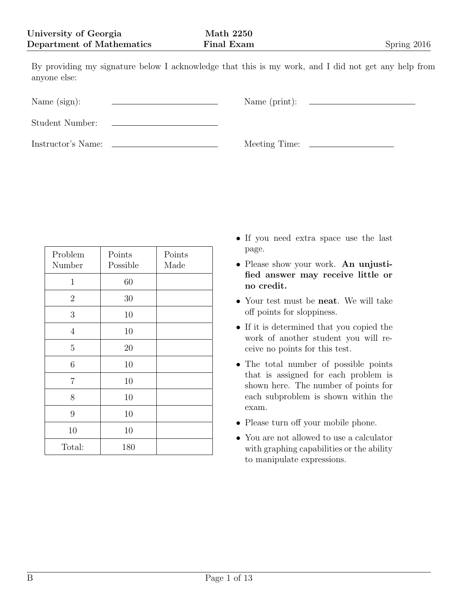By providing my signature below I acknowledge that this is my work, and I did not get any help from anyone else:

| Name $(sign):$     |  |
|--------------------|--|
| Student Number:    |  |
| Instructor's Name: |  |

| Problem<br>Number | Points<br>Possible | Points<br>Made |
|-------------------|--------------------|----------------|
| $\mathbf{1}$      | 60                 |                |
| $\overline{2}$    | 30                 |                |
| 3                 | 10                 |                |
| $\overline{4}$    | 10                 |                |
| 5                 | 20                 |                |
| 6                 | 10                 |                |
| $\overline{7}$    | 10                 |                |
| 8                 | 10                 |                |
| 9                 | 10                 |                |
| 10                | 10                 |                |
| Total:            | 180                |                |

- *•* If you need extra space use the last page.
- *•* Please show your work. **An unjustified answer may receive little or no credit.**
- *•* Your test must be **neat**. We will take off points for sloppiness.
- If it is determined that you copied the work of another student you will receive no points for this test.
- *•* The total number of possible points that is assigned for each problem is shown here. The number of points for each subproblem is shown within the exam.
- Please turn off your mobile phone.
- *•* You are not allowed to use a calculator with graphing capabilities or the ability to manipulate expressions.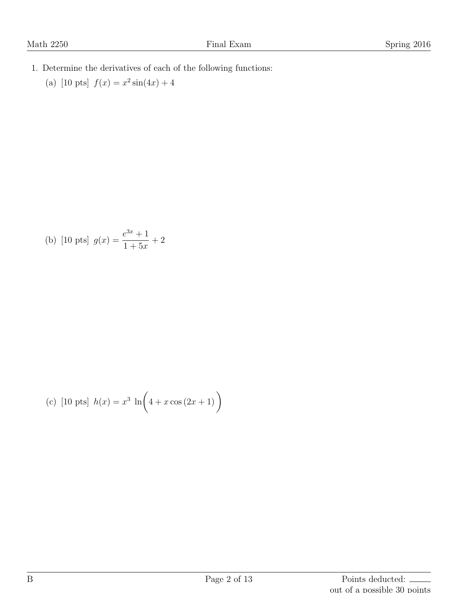- 1. Determine the derivatives of each of the following functions:
	- (a)  $[10 \text{ pts}]$   $f(x) = x^2 \sin(4x) + 4$

(b) [10 pts] 
$$
g(x) = \frac{e^{3x} + 1}{1 + 5x} + 2
$$

(c) [10 pts] 
$$
h(x) = x^3 \ln(4 + x \cos(2x + 1))
$$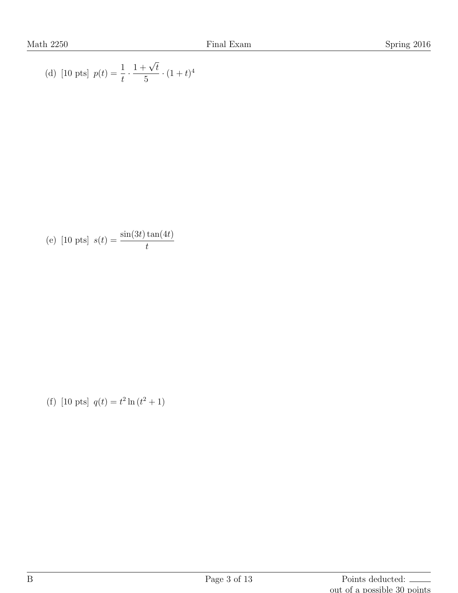(d) [10 pts] 
$$
p(t) = \frac{1}{t} \cdot \frac{1 + \sqrt{t}}{5} \cdot (1 + t)^4
$$

(e) [10 pts] 
$$
s(t) = \frac{\sin(3t)\tan(4t)}{t}
$$

(f)  $[10 \text{ pts}] q(t) = t^2 \ln(t^2 + 1)$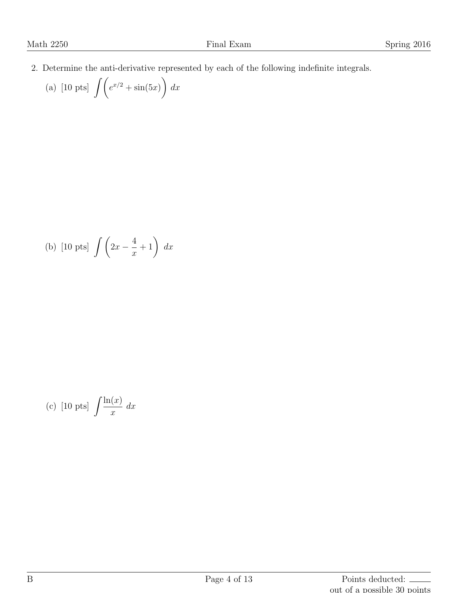2. Determine the anti-derivative represented by each of the following indefinite integrals.

(a) [10 pts] 
$$
\int \left( e^{x/2} + \sin(5x) \right) dx
$$

(b) [10 pts] 
$$
\int \left(2x - \frac{4}{x} + 1\right) dx
$$

(c) [10 pts] 
$$
\int \frac{\ln(x)}{x} dx
$$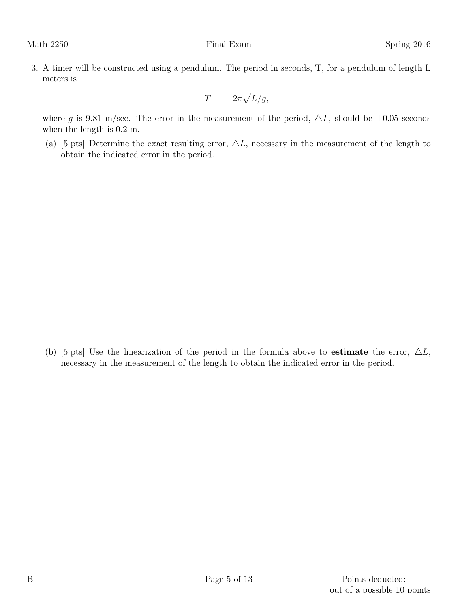3. A timer will be constructed using a pendulum. The period in seconds, T, for a pendulum of length L meters is

$$
T = 2\pi \sqrt{L/g},
$$

where *g* is 9.81 m/sec. The error in the measurement of the period,  $\Delta T$ , should be  $\pm 0.05$  seconds when the length is 0.2 m.

(a) [5 pts] Determine the exact resulting error,  $\Delta L$ , necessary in the measurement of the length to obtain the indicated error in the period.

(b) [5 pts] Use the linearization of the period in the formula above to **estimate** the error,  $\Delta L$ , necessary in the measurement of the length to obtain the indicated error in the period.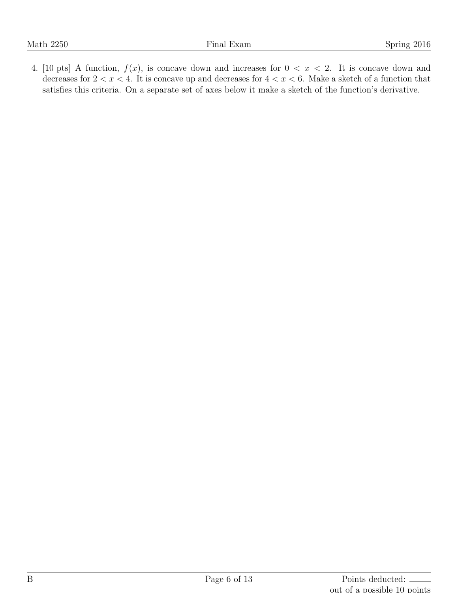4. [10 pts] A function,  $f(x)$ , is concave down and increases for  $0 < x < 2$ . It is concave down and decreases for  $2 < x < 4$ . It is concave up and decreases for  $4 < x < 6$ . Make a sketch of a function that satisfies this criteria. On a separate set of axes below it make a sketch of the function's derivative.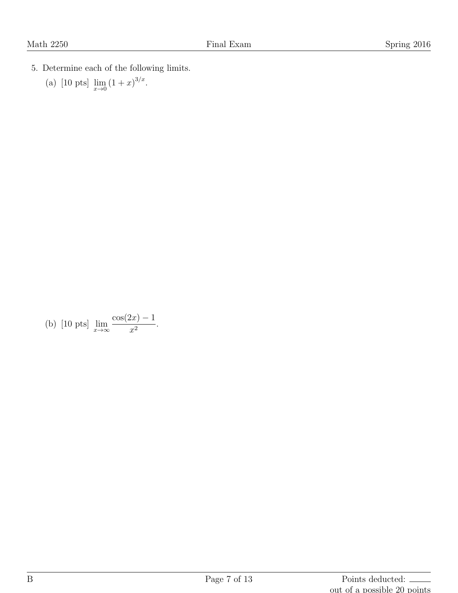- 5. Determine each of the following limits.
	- (a) [10 pts]  $\lim_{x \to 0} (1+x)^{3/x}$ .

(b) [10 pts] 
$$
\lim_{x \to \infty} \frac{\cos(2x) - 1}{x^2}
$$
.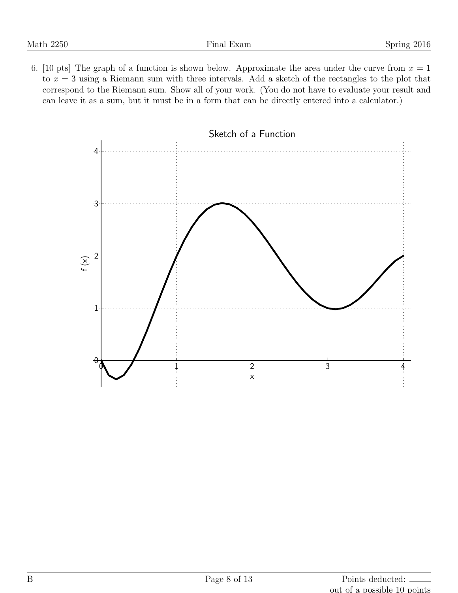6. [10 pts] The graph of a function is shown below. Approximate the area under the curve from  $x = 1$ to *x* = 3 using a Riemann sum with three intervals. Add a sketch of the rectangles to the plot that correspond to the Riemann sum. Show all of your work. (You do not have to evaluate your result and can leave it as a sum, but it must be in a form that can be directly entered into a calculator.)

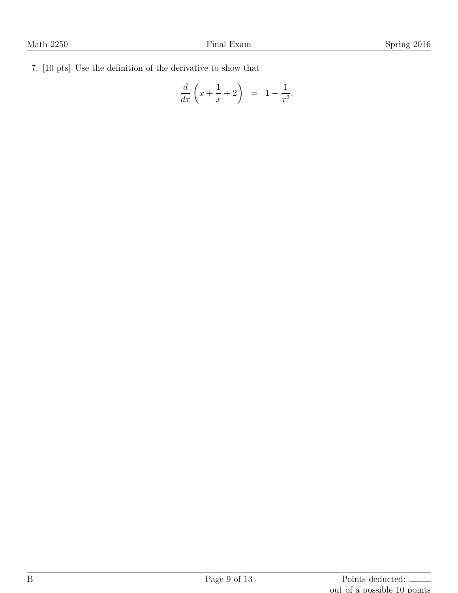7. [10 pts] Use the definition of the derivative to show that

$$
\frac{d}{dx}\left(x+\frac{1}{x}+2\right) = 1-\frac{1}{x^2}.
$$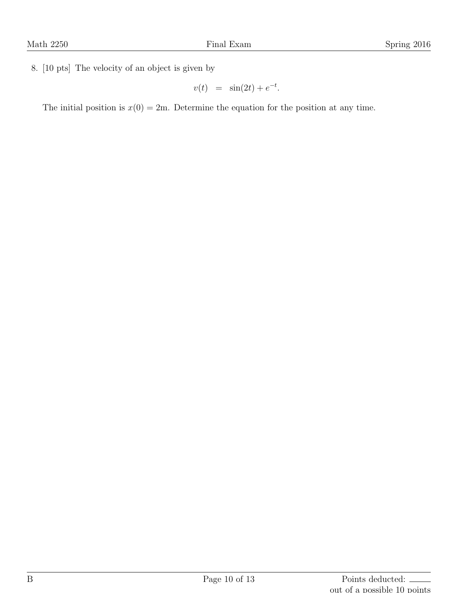8. [10 pts] The velocity of an object is given by

$$
v(t) = \sin(2t) + e^{-t}.
$$

The initial position is  $x(0) = 2m$ . Determine the equation for the position at any time.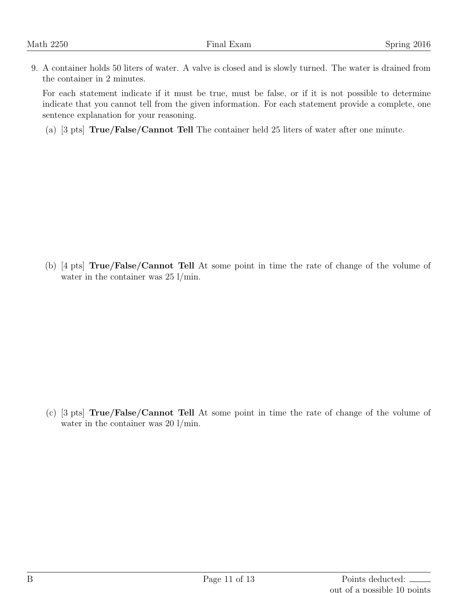9. A container holds 50 liters of water. A valve is closed and is slowly turned. The water is drained from the container in 2 minutes.

For each statement indicate if it must be true, must be false, or if it is not possible to determine indicate that you cannot tell from the given information. For each statement provide a complete, one sentence explanation for your reasoning.

(a) [3 pts] **True/False/Cannot Tell** The container held 25 liters of water after one minute.

(b) [4 pts] **True/False/Cannot Tell** At some point in time the rate of change of the volume of water in the container was 25  $1/\text{min}$ .

(c) [3 pts] **True/False/Cannot Tell** At some point in time the rate of change of the volume of water in the container was 20  $1/\text{min}$ .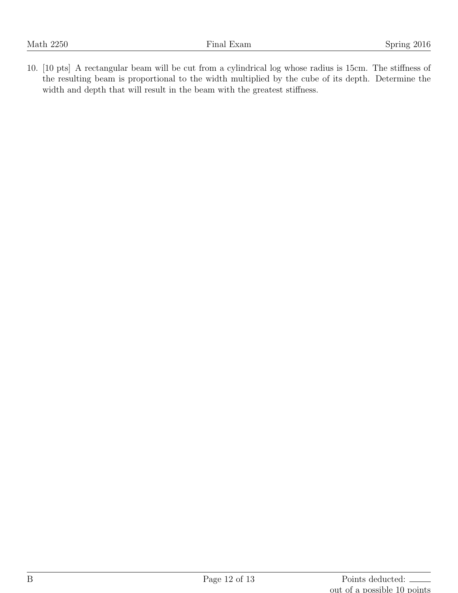10. [10 pts] A rectangular beam will be cut from a cylindrical log whose radius is 15cm. The stiffness of the resulting beam is proportional to the width multiplied by the cube of its depth. Determine the width and depth that will result in the beam with the greatest stiffness.